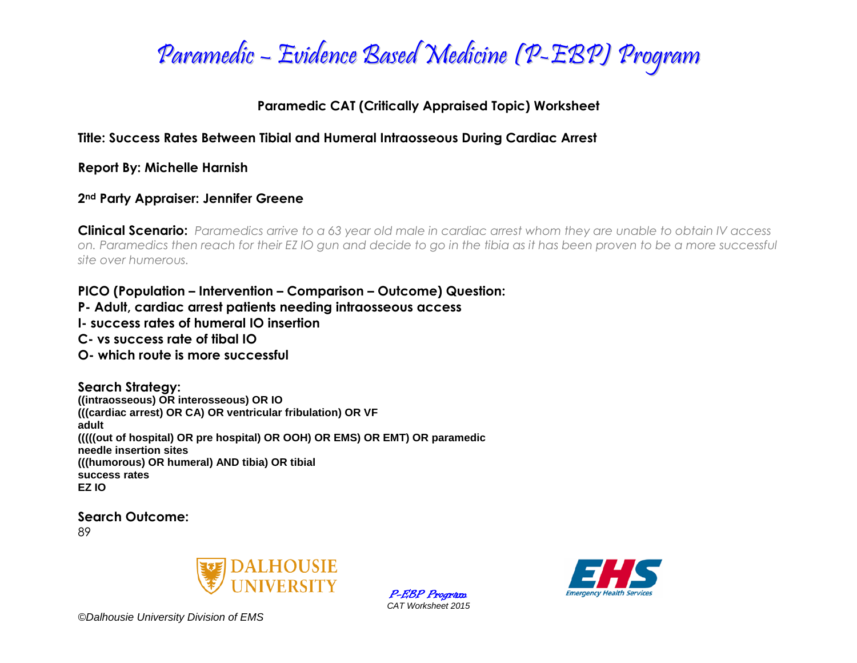

### **Paramedic CAT (Critically Appraised Topic) Worksheet**

### **Title: Success Rates Between Tibial and Humeral Intraosseous During Cardiac Arrest**

**Report By: Michelle Harnish**

#### **2nd Party Appraiser: Jennifer Greene**

**Clinical Scenario:** *Paramedics arrive to a 63 year old male in cardiac arrest whom they are unable to obtain IV access on. Paramedics then reach for their EZ IO gun and decide to go in the tibia as it has been proven to be a more successful site over humerous.*

#### **PICO (Population – Intervention – Comparison – Outcome) Question:**

- **P- Adult, cardiac arrest patients needing intraosseous access**
- **I- success rates of humeral IO insertion**
- **C- vs success rate of tibal IO**
- **O- which route is more successful**

#### **Search Strategy:**

**((intraosseous) OR interosseous) OR IO (((cardiac arrest) OR CA) OR ventricular fribulation) OR VF adult (((((out of hospital) OR pre hospital) OR OOH) OR EMS) OR EMT) OR paramedic needle insertion sites (((humorous) OR humeral) AND tibia) OR tibial success rates EZ IO**

**Search Outcome:**

89



P-EBP Program *CAT Worksheet 2015*



*©Dalhousie University Division of EMS*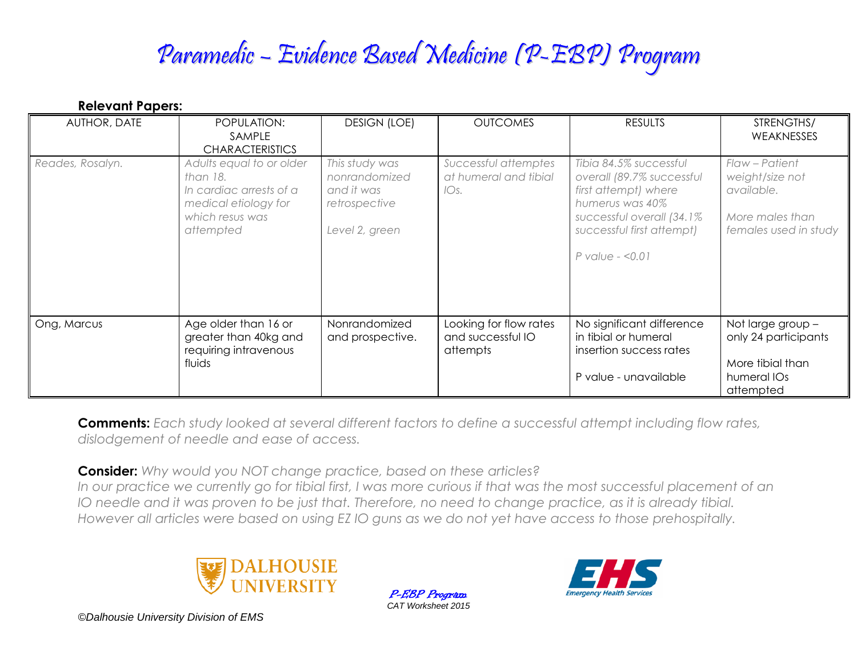## Paramedic – Evidence Based Medicine (P-EBP) Program

| <b>Relevant Papers:</b> |                                                                                                                         |                                                                                  |                                                         |                                                                                                                                                                                   |                                                                                             |
|-------------------------|-------------------------------------------------------------------------------------------------------------------------|----------------------------------------------------------------------------------|---------------------------------------------------------|-----------------------------------------------------------------------------------------------------------------------------------------------------------------------------------|---------------------------------------------------------------------------------------------|
| AUTHOR, DATE            | POPULATION:<br>SAMPLE<br><b>CHARACTERISTICS</b>                                                                         | <b>DESIGN (LOE)</b>                                                              | <b>OUTCOMES</b>                                         | <b>RESULTS</b>                                                                                                                                                                    | STRENGTHS/<br>WEAKNESSES                                                                    |
| Reades, Rosalyn.        | Adults equal to or older<br>than 18.<br>In cardiac arrests of a<br>medical etiology for<br>which resus was<br>attempted | This study was<br>nonrandomized<br>and it was<br>retrospective<br>Level 2, green | Successful attemptes<br>at humeral and tibial<br>IOs.   | Tibia 84.5% successful<br>overall (89.7% successful<br>first attempt) where<br>humerus was 40%<br>successful overall (34.1%)<br>successful first attempt)<br>$P$ value - < $0.01$ | Flaw - Patient<br>weight/size not<br>available.<br>More males than<br>females used in study |
| Ong, Marcus             | Age older than 16 or<br>greater than 40kg and<br>requiring intravenous<br>fluids                                        | Nonrandomized<br>and prospective.                                                | Looking for flow rates<br>and successful IO<br>attempts | No significant difference<br>in tibial or humeral<br>insertion success rates<br>P value - unavailable                                                                             | Not large group -<br>only 24 participants<br>More tibial than<br>humeral IOs<br>attempted   |

**Comments:** *Each study looked at several different factors to define a successful attempt including flow rates, dislodgement of needle and ease of access.*

**Consider:** *Why would you NOT change practice, based on these articles?* In our practice we currently go for tibial first, I was more curious if that was the most successful placement of an *IO needle and it was proven to be just that. Therefore, no need to change practice, as it is already tibial. However all articles were based on using EZ IO guns as we do not yet have access to those prehospitally.*



P-EBP Program *CAT Worksheet 2015*



*©Dalhousie University Division of EMS*